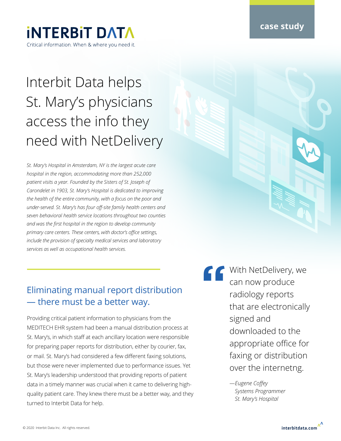### **case study**

## **INTERBIT DATA** Critical information. When & where you need it.

# Interbit Data helps St. Mary's physicians access the info they need with NetDelivery

*St. Mary's Hospital in Amsterdam, NY is the largest acute care hospital in the region, accommodating more than 252,000 patient visits a year. Founded by the Sisters of St. Joseph of Carondelet in 1903, St. Mary's Hospital is dedicated to improving the health of the entire community, with a focus on the poor and under-served. St. Mary's has four off-site family health centers and seven behavioral health service locations throughout two counties and was the first hospital in the region to develop community primary care centers. These centers, with doctor's office settings, include the provision of specialty medical services and laboratory services as well as occupational health services.*

### Eliminating manual report distribution — there must be a better way.

Providing critical patient information to physicians from the MEDITECH EHR system had been a manual distribution process at St. Mary's, in which staff at each ancillary location were responsible for preparing paper reports for distribution, either by courier, fax, or mail. St. Mary's had considered a few different faxing solutions, but those were never implemented due to performance issues. Yet St. Mary's leadership understood that providing reports of patient data in a timely manner was crucial when it came to delivering highquality patient care. They knew there must be a better way, and they turned to Interbit Data for help.

**"** With NetDelivery, we can now produce radiology reports that are electronically signed and downloaded to the appropriate office for faxing or distribution over the internetng.

*—Eugene Coffey Systems Programmer St. Mary's Hospital*

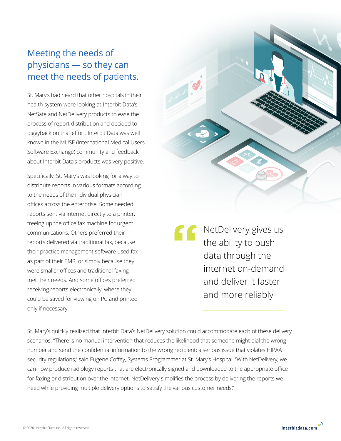### Meeting the needs of physicians — so they can meet the needs of patients.

St. Mary's had heard that other hospitals in their health system were looking at Interbit Data's NetSafe and NetDelivery products to ease the process of report distribution and decided to piggyback on that effort. Interbit Data was well known in the MUSE (International Medical Users Software Exchange) community and feedback about Interbit Data's products was very positive.

Specifically, St. Mary's was looking for a way to distribute reports in various formats according to the needs of the individual physician offices across the enterprise. Some needed reports sent via internet directly to a printer, freeing up the office fax machine for urgent communications. Others preferred their reports delivered via traditional fax, because their practice management software used fax as part of their EMR, or simply because they were smaller offices and traditional faxing met their needs. And some offices preferred receiving reports electronically, where they could be saved for viewing on PC and printed only if necessary.

**"** NetDelivery gives us the ability to push data through the internet on-demand and deliver it faster and more reliably

St. Mary's quickly realized that Interbit Data's NetDelivery solution could accommodate each of these delivery scenarios. "There is no manual intervention that reduces the likelihood that someone might dial the wrong number and send the confidential information to the wrong recipient; a serious issue that violates HIPAA security regulations," said Eugene Coffey, Systems Programmer at St. Mary's Hospital. "With NetDelivery, we can now produce radiology reports that are electronically signed and downloaded to the appropriate office for faxing or distribution over the internet. NetDelivery simplifies the process by delivering the reports we need while providing multiple delivery options to satisfy the various customer needs."